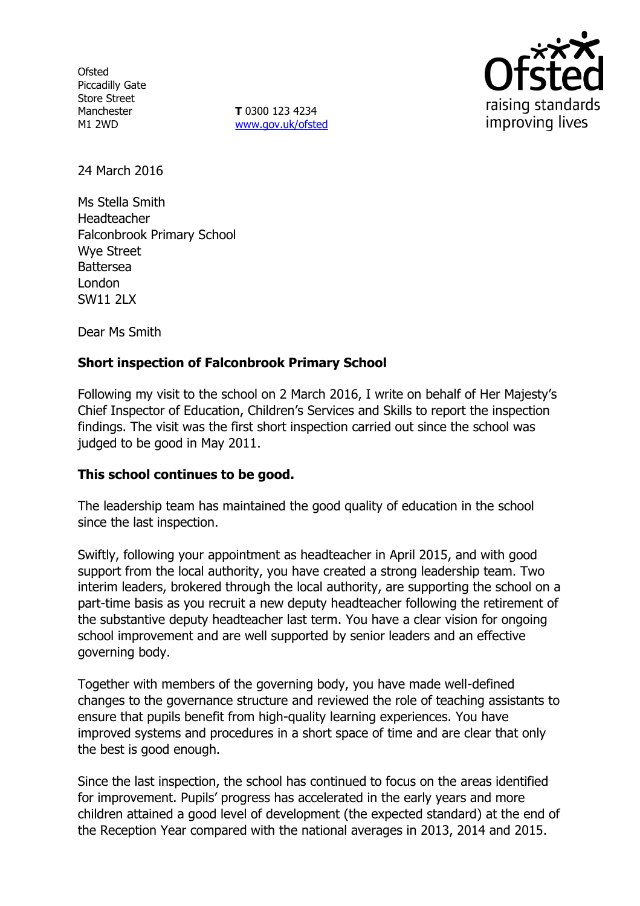**Ofsted** Piccadilly Gate Store Street **Manchester** M1 2WD

**T** 0300 123 4234 www.gov.uk/ofsted



24 March 2016

Ms Stella Smith Headteacher Falconbrook Primary School Wye Street Battersea London SW11 2LX

Dear Ms Smith

# **Short inspection of Falconbrook Primary School**

Following my visit to the school on 2 March 2016, I write on behalf of Her Majesty's Chief Inspector of Education, Children's Services and Skills to report the inspection findings. The visit was the first short inspection carried out since the school was judged to be good in May 2011.

## **This school continues to be good.**

The leadership team has maintained the good quality of education in the school since the last inspection.

Swiftly, following your appointment as headteacher in April 2015, and with good support from the local authority, you have created a strong leadership team. Two interim leaders, brokered through the local authority, are supporting the school on a part-time basis as you recruit a new deputy headteacher following the retirement of the substantive deputy headteacher last term. You have a clear vision for ongoing school improvement and are well supported by senior leaders and an effective governing body.

Together with members of the governing body, you have made well-defined changes to the governance structure and reviewed the role of teaching assistants to ensure that pupils benefit from high-quality learning experiences. You have improved systems and procedures in a short space of time and are clear that only the best is good enough.

Since the last inspection, the school has continued to focus on the areas identified for improvement. Pupils' progress has accelerated in the early years and more children attained a good level of development (the expected standard) at the end of the Reception Year compared with the national averages in 2013, 2014 and 2015.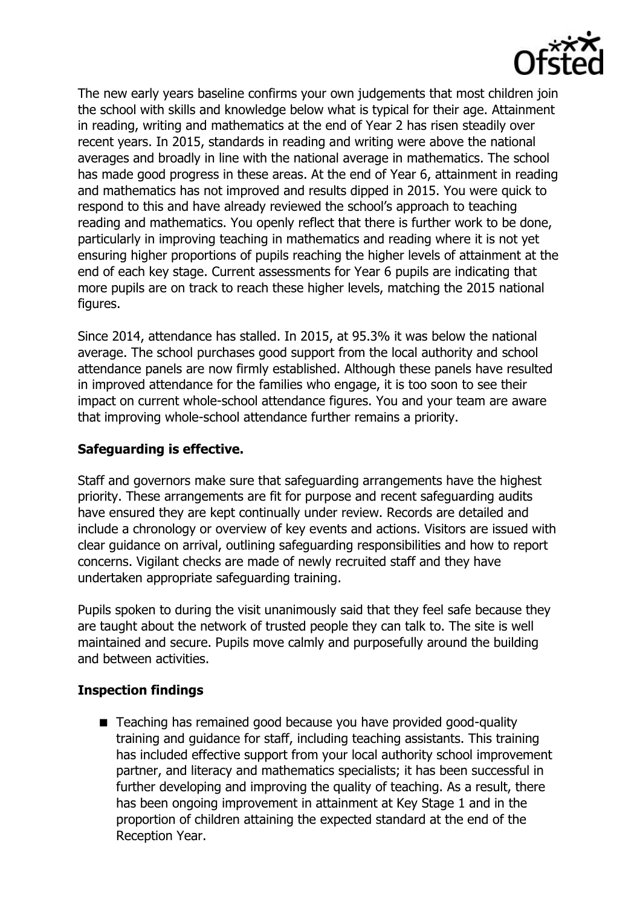

The new early years baseline confirms your own judgements that most children join the school with skills and knowledge below what is typical for their age. Attainment in reading, writing and mathematics at the end of Year 2 has risen steadily over recent years. In 2015, standards in reading and writing were above the national averages and broadly in line with the national average in mathematics. The school has made good progress in these areas. At the end of Year 6, attainment in reading and mathematics has not improved and results dipped in 2015. You were quick to respond to this and have already reviewed the school's approach to teaching reading and mathematics. You openly reflect that there is further work to be done, particularly in improving teaching in mathematics and reading where it is not yet ensuring higher proportions of pupils reaching the higher levels of attainment at the end of each key stage. Current assessments for Year 6 pupils are indicating that more pupils are on track to reach these higher levels, matching the 2015 national figures.

Since 2014, attendance has stalled. In 2015, at 95.3% it was below the national average. The school purchases good support from the local authority and school attendance panels are now firmly established. Although these panels have resulted in improved attendance for the families who engage, it is too soon to see their impact on current whole-school attendance figures. You and your team are aware that improving whole-school attendance further remains a priority.

### **Safeguarding is effective.**

Staff and governors make sure that safeguarding arrangements have the highest priority. These arrangements are fit for purpose and recent safeguarding audits have ensured they are kept continually under review. Records are detailed and include a chronology or overview of key events and actions. Visitors are issued with clear guidance on arrival, outlining safeguarding responsibilities and how to report concerns. Vigilant checks are made of newly recruited staff and they have undertaken appropriate safeguarding training.

Pupils spoken to during the visit unanimously said that they feel safe because they are taught about the network of trusted people they can talk to. The site is well maintained and secure. Pupils move calmly and purposefully around the building and between activities.

#### **Inspection findings**

■ Teaching has remained good because you have provided good-quality training and guidance for staff, including teaching assistants. This training has included effective support from your local authority school improvement partner, and literacy and mathematics specialists; it has been successful in further developing and improving the quality of teaching. As a result, there has been ongoing improvement in attainment at Key Stage 1 and in the proportion of children attaining the expected standard at the end of the Reception Year.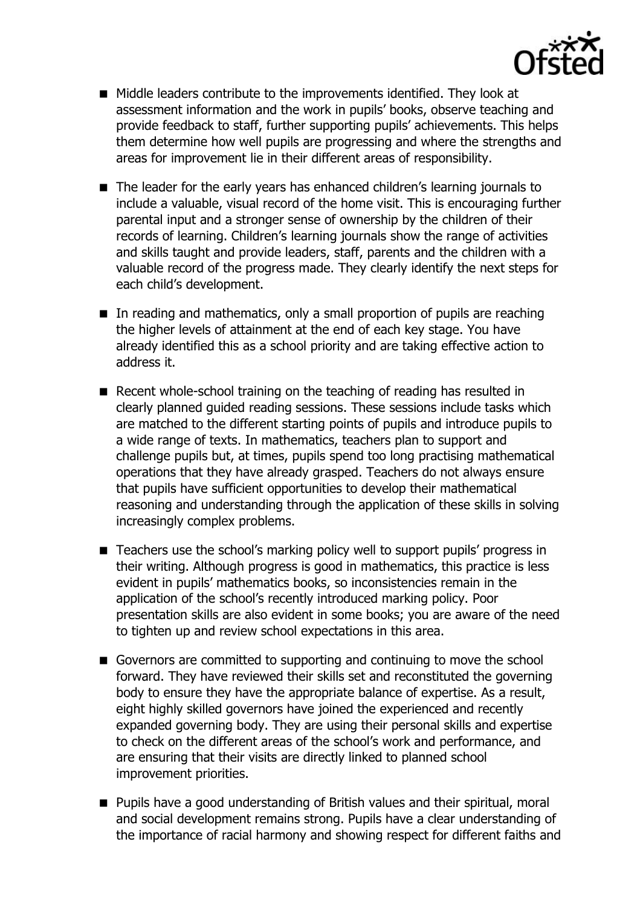

- Middle leaders contribute to the improvements identified. They look at assessment information and the work in pupils' books, observe teaching and provide feedback to staff, further supporting pupils' achievements. This helps them determine how well pupils are progressing and where the strengths and areas for improvement lie in their different areas of responsibility.
- The leader for the early years has enhanced children's learning journals to include a valuable, visual record of the home visit. This is encouraging further parental input and a stronger sense of ownership by the children of their records of learning. Children's learning journals show the range of activities and skills taught and provide leaders, staff, parents and the children with a valuable record of the progress made. They clearly identify the next steps for each child's development.
- In reading and mathematics, only a small proportion of pupils are reaching the higher levels of attainment at the end of each key stage. You have already identified this as a school priority and are taking effective action to address it.
- Recent whole-school training on the teaching of reading has resulted in clearly planned guided reading sessions. These sessions include tasks which are matched to the different starting points of pupils and introduce pupils to a wide range of texts. In mathematics, teachers plan to support and challenge pupils but, at times, pupils spend too long practising mathematical operations that they have already grasped. Teachers do not always ensure that pupils have sufficient opportunities to develop their mathematical reasoning and understanding through the application of these skills in solving increasingly complex problems.
- Teachers use the school's marking policy well to support pupils' progress in their writing. Although progress is good in mathematics, this practice is less evident in pupils' mathematics books, so inconsistencies remain in the application of the school's recently introduced marking policy. Poor presentation skills are also evident in some books; you are aware of the need to tighten up and review school expectations in this area.
- Governors are committed to supporting and continuing to move the school forward. They have reviewed their skills set and reconstituted the governing body to ensure they have the appropriate balance of expertise. As a result, eight highly skilled governors have joined the experienced and recently expanded governing body. They are using their personal skills and expertise to check on the different areas of the school's work and performance, and are ensuring that their visits are directly linked to planned school improvement priorities.
- **Pupils have a good understanding of British values and their spiritual, moral** and social development remains strong. Pupils have a clear understanding of the importance of racial harmony and showing respect for different faiths and